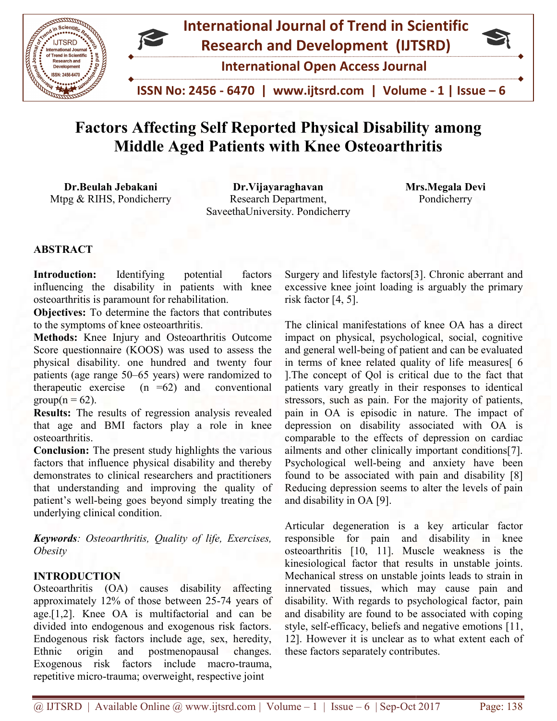

# Factors Affecting Self Reported Physical Disability Factors with Knee Osteoarthritis among Middle Aged Patients with Knee Osteoarthritis

Dr.Beulah Jebakani Mtpg & RIHS, Pondicherry SaveethaUniversity. Pondicherry Dr.Vijayaraghavan Research Department,

Mrs.Megala Devi Pondicherry

## ABSTRACT

Introduction: Identifying potential factors influencing the disability in patients with knee osteoarthritis is paramount for rehabilitation. Introduction: Identifying potential<br>influencing the disability in patients w<br>osteoarthritis is paramount for rehabilitation.

Objectives: To determine the factors that contributes to the symptoms of knee osteoarthritis. **Objectives:** To determine the factors that contributes<br>to the symptoms of knee osteoarthritis.<br>**Methods:** Knee Injury and Osteoarthritis Outcome

Score questionnaire (KOOS) was used to assess the physical disability. one hundred and twenty four patients (age range 50–65 years) were randomized to therapeutic exercise  $(n = 62)$  and conventional  $group(n = 62)$ . questionnaire (KOOS) was used to assess the<br>cal disability. one hundred and twenty four<br>ts (age range 50–65 years) were randomized to<br>beutic exercise  $(n = 62)$  and conventional<br> $(n = 62)$ .<br>**Its:** The results of regression an

Results: The results of regression analysis revealed that age and BMI factors play a role in knee osteoarthritis.

Conclusion: The present study highlights the various factors that influence physical disability and thereby demonstrates to clinical researchers and practitioners that understanding and improving the quality of patient's well-being goes beyond simply treating the underlying clinical condition.

Keywords: Osteoarthritis, Quality of life, Exercises, **Obesity** 

## INTRODUCTION

Osteoarthritis (OA) causes disability affecting approximately 12% of those between 25 25-74 years of age.[1,2]. Knee OA is multifactorial and can be divided into endogenous and exogenous risk factors. Endogenous risk factors include age, sex, heredity, Ethnic origin and postmenopausal changes. Exogenous risk factors include macro-trauma, repetitive micro-trauma; overweight, respective joint age.[1,2]. Knee OA is multifactorial and can be<br>divided into endogenous and exogenous risk factors.<br>Endogenous risk factors include age, sex, heredity,<br>Ethnic origin and postmenopausal changes.<br>Exogenous risk factors inclu

excessive knee joint loading is arguably the primary risk factor [4, 5].

Identifying potential factors Surgery and fifestyle factors[3]. Chronic aberrant and<br>disability in patients with knee exergive alterestime in charge of the primary<br>aramount for relabilitation.<br>The circuite risk factor [4, The clinical manifestations of knee OA has a direct impact on physical, psychological, social, cognitive and general well-being of patient and can be evaluated in terms of knee related quality of life measures[ 6 ]. The concept of Qol is critical due to the fact that patients vary greatly in their responses to identical stressors, such as pain. For the majority of patients, pain in OA is episodic in nature. The impact of depression on disability associated with OA is patients vary greatly in their responses to identical<br>stressors, such as pain. For the majority of patients,<br>pain in OA is episodic in nature. The impact of<br>depression on disability associated with OA is<br>comparable to the ailments and other clinically important conditions[7]. Psychological well-being and anxiety have been found to be associated with pain and disability [8] Reducing depression seems to alter the levels of pain and disability in OA [9]. Surgery and lifestyle factors[3]. Chronic aberrant and excessive knee joint loading is arguably the primary risk factor [4, 5].<br>The clinical manifestations of knee OA has a direct impact on physical, psychological, social

Articular degeneration is a key articular factor responsible for pain and disability in knee osteoarthritis [10, 11]. Muscle weakness is the kinesiological factor that results in unstable joints. Mechanical stress on unstable joints leads to strain in innervated tissues, which may cause pain and disability. With regards to psychological factor, pain and disability are found to be associated with coping style, self-efficacy, beliefs and negative emotions [11, 12]. However it is unclear as to what extent each of these factors separately contributes. ments and other clinically important conditions[7].<br>
vchological well-being and anxiety have been<br>
and to be associated with pain and disability [8]<br>
dicing depression seems to alter the levels of pain<br>
disability in OA [9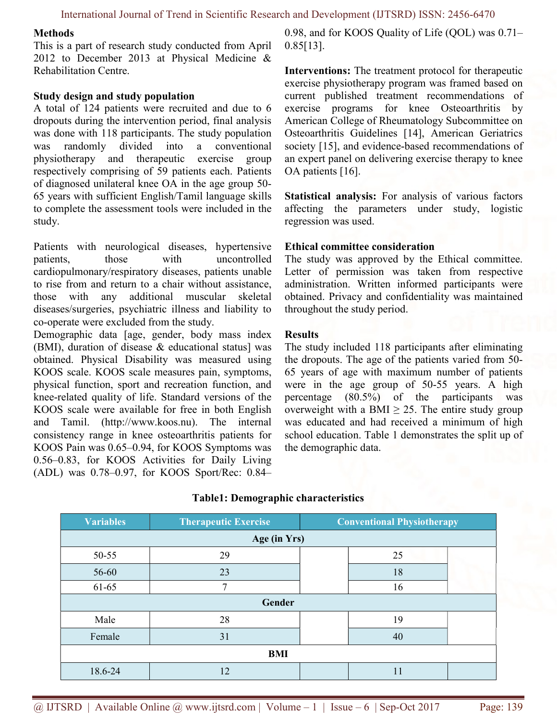#### Methods

This is a part of research study conducted from April 2012 to December 2013 at Physical Medicine & Rehabilitation Centre.

#### Study design and study population

A total of 124 patients were recruited and due to 6 dropouts during the intervention period, final analysis was done with 118 participants. The study population was randomly divided into a conventional physiotherapy and therapeutic exercise group respectively comprising of 59 patients each. Patients of diagnosed unilateral knee OA in the age group 50- 65 years with sufficient English/Tamil language skills to complete the assessment tools were included in the study.

Patients with neurological diseases, hypertensive patients, those with uncontrolled cardiopulmonary/respiratory diseases, patients unable to rise from and return to a chair without assistance, those with any additional muscular skeletal diseases/surgeries, psychiatric illness and liability to co-operate were excluded from the study.

Demographic data [age, gender, body mass index (BMI), duration of disease & educational status] was obtained. Physical Disability was measured using KOOS scale. KOOS scale measures pain, symptoms, physical function, sport and recreation function, and knee-related quality of life. Standard versions of the KOOS scale were available for free in both English and Tamil. (http://www.koos.nu). The internal consistency range in knee osteoarthritis patients for KOOS Pain was 0.65–0.94, for KOOS Symptoms was 0.56–0.83, for KOOS Activities for Daily Living (ADL) was 0.78–0.97, for KOOS Sport/Rec: 0.84– 0.98, and for KOOS Quality of Life (QOL) was 0.71– 0.85[13].

Interventions: The treatment protocol for therapeutic exercise physiotherapy program was framed based on current published treatment recommendations of exercise programs for knee Osteoarthritis by American College of Rheumatology Subcommittee on Osteoarthritis Guidelines [14], American Geriatrics society [15], and evidence-based recommendations of an expert panel on delivering exercise therapy to knee OA patients [16].

Statistical analysis: For analysis of various factors affecting the parameters under study, logistic regression was used.

#### Ethical committee consideration

The study was approved by the Ethical committee. Letter of permission was taken from respective administration. Written informed participants were obtained. Privacy and confidentiality was maintained throughout the study period.

#### Results

The study included 118 participants after eliminating the dropouts. The age of the patients varied from 50- 65 years of age with maximum number of patients were in the age group of 50-55 years. A high percentage (80.5%) of the participants was overweight with a BMI  $\geq$  25. The entire study group was educated and had received a minimum of high school education. Table 1 demonstrates the split up of the demographic data.

| <b>Variables</b> | <b>Therapeutic Exercise</b> | <b>Conventional Physiotherapy</b> |    |  |  |  |  |  |  |
|------------------|-----------------------------|-----------------------------------|----|--|--|--|--|--|--|
|                  | Age (in Yrs)                |                                   |    |  |  |  |  |  |  |
| $50 - 55$        | 29                          |                                   | 25 |  |  |  |  |  |  |
| 56-60            | 23                          |                                   | 18 |  |  |  |  |  |  |
| 61-65            | 7                           |                                   | 16 |  |  |  |  |  |  |
|                  | Gender                      |                                   |    |  |  |  |  |  |  |
| Male             | 28                          |                                   | 19 |  |  |  |  |  |  |
| Female           | 31                          |                                   | 40 |  |  |  |  |  |  |
|                  | BMI                         |                                   |    |  |  |  |  |  |  |
| 18.6-24          | 12                          |                                   | 11 |  |  |  |  |  |  |

### Table1: Demographic characteristics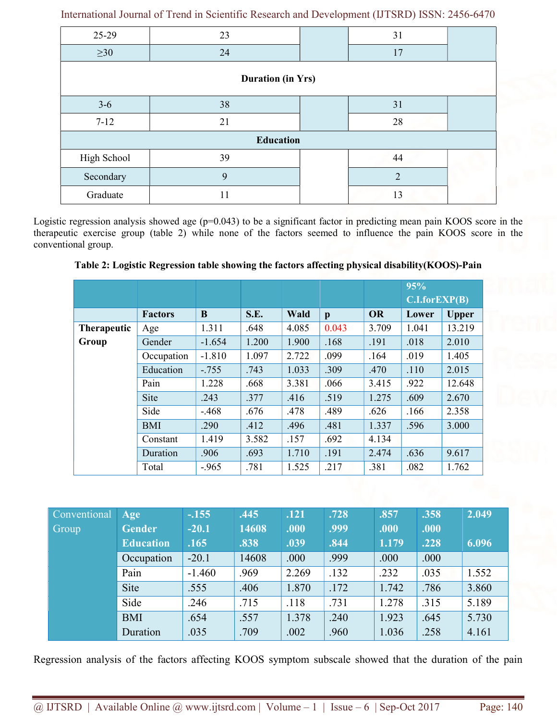| 25-29            | 23                       |  | 31             |  |  |  |  |  |  |
|------------------|--------------------------|--|----------------|--|--|--|--|--|--|
| $\geq 30$        | 24                       |  | 17             |  |  |  |  |  |  |
|                  | <b>Duration (in Yrs)</b> |  |                |  |  |  |  |  |  |
| $3-6$            | 38                       |  | 31             |  |  |  |  |  |  |
| $7 - 12$         | 21                       |  | 28             |  |  |  |  |  |  |
| <b>Education</b> |                          |  |                |  |  |  |  |  |  |
| High School      | 39                       |  | 44             |  |  |  |  |  |  |
| Secondary        | 9                        |  | $\overline{2}$ |  |  |  |  |  |  |
| Graduate         | 11                       |  | 13             |  |  |  |  |  |  |

International Journal of Trend in Scientific Research and Development (IJTSRD) ISSN: 2456-6470

Logistic regression analysis showed age (p=0.043) to be a significant factor in predicting mean pain KOOS score in the therapeutic exercise group (table 2) while none of the factors seemed to influence the pain KOOS score in the conventional group.

Table 2: Logistic Regression table showing the factors affecting physical disability(KOOS)-Pain

|                    |                |          |       |       |              |           | 95%                 |              |
|--------------------|----------------|----------|-------|-------|--------------|-----------|---------------------|--------------|
|                    |                |          |       |       |              |           | $C.I.$ for $EXP(B)$ |              |
|                    | <b>Factors</b> | B        | S.E.  | Wald  | $\mathbf{p}$ | <b>OR</b> | Lower               | <b>Upper</b> |
| <b>Therapeutic</b> | Age            | 1.311    | .648  | 4.085 | 0.043        | 3.709     | 1.041               | 13.219       |
| Group              | Gender         | $-1.654$ | 1.200 | 1.900 | .168         | .191      | .018                | 2.010        |
|                    | Occupation     | $-1.810$ | 1.097 | 2.722 | .099         | .164      | .019                | 1.405        |
|                    | Education      | $-.755$  | .743  | 1.033 | .309         | .470      | .110                | 2.015        |
|                    | Pain           | 1.228    | .668  | 3.381 | .066         | 3.415     | .922                | 12.648       |
|                    | Site           | .243     | .377  | .416  | .519         | 1.275     | .609                | 2.670        |
|                    | Side           | $-.468$  | .676  | .478  | .489         | .626      | .166                | 2.358        |
|                    | <b>BMI</b>     | .290     | .412  | .496  | .481         | 1.337     | .596                | 3.000        |
|                    | Constant       | 1.419    | 3.582 | .157  | .692         | 4.134     |                     |              |
|                    | Duration       | .906     | .693  | 1.710 | .191         | 2.474     | .636                | 9.617        |
|                    | Total          | $-.965$  | .781  | 1.525 | .217         | .381      | .082                | 1.762        |

| <b>Conventional</b> | Age              | $-.155$  | .445  | .121  | .728 | .857  | .358 | 2.049 |
|---------------------|------------------|----------|-------|-------|------|-------|------|-------|
| Group               | <b>Gender</b>    | $-20.1$  | 14608 | .000  | .999 | .000  | .000 |       |
|                     | <b>Education</b> | .165     | .838  | .039  | .844 | 1.179 | .228 | 6.096 |
|                     | Occupation       | $-20.1$  | 14608 | .000  | .999 | .000  | .000 |       |
|                     | Pain             | $-1.460$ | .969  | 2.269 | .132 | .232  | .035 | 1.552 |
|                     | Site             | .555     | .406  | 1.870 | .172 | 1.742 | .786 | 3.860 |
|                     | Side             | .246     | .715  | .118  | .731 | 1.278 | .315 | 5.189 |
|                     | <b>BMI</b>       | .654     | .557  | 1.378 | .240 | 1.923 | .645 | 5.730 |
|                     | Duration         | .035     | .709  | .002  | .960 | 1.036 | .258 | 4.161 |

Regression analysis of the factors affecting KOOS symptom subscale showed that the duration of the pain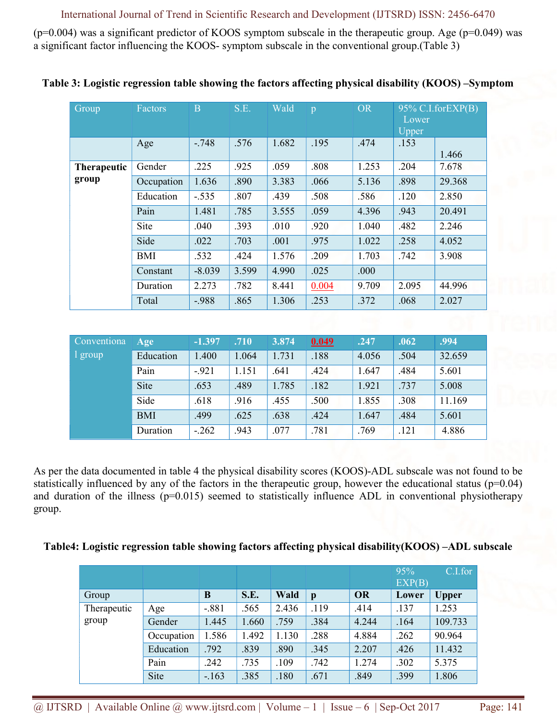## International Journal of Trend in Scientific Research and Development (IJTSRD) ISSN: 2456-6470

 $(p=0.004)$  was a significant predictor of KOOS symptom subscale in the therapeutic group. Age  $(p=0.049)$  was a significant factor influencing the KOOS- symptom subscale in the conventional group.(Table 3)

| Group              | Factors    | B        | S.E.  | Wald  | p     | <b>OR</b> | Lower<br>Upper | $95\%$ C.I.for EXP(B) |
|--------------------|------------|----------|-------|-------|-------|-----------|----------------|-----------------------|
|                    | Age        | $-.748$  | .576  | 1.682 | .195  | .474      | .153           | 1.466                 |
| <b>Therapeutic</b> | Gender     | .225     | .925  | .059  | .808  | 1.253     | .204           | 7.678                 |
| group              | Occupation | 1.636    | .890  | 3.383 | .066  | 5.136     | .898           | 29.368                |
|                    | Education  | $-.535$  | .807  | .439  | .508  | .586      | .120           | 2.850                 |
|                    | Pain       | 1.481    | .785  | 3.555 | .059  | 4.396     | .943           | 20.491                |
|                    | Site       | .040     | .393  | .010  | .920  | 1.040     | .482           | 2.246                 |
|                    | Side       | .022     | .703  | .001  | .975  | 1.022     | .258           | 4.052                 |
|                    | <b>BMI</b> | .532     | .424  | 1.576 | .209  | 1.703     | .742           | 3.908                 |
|                    | Constant   | $-8.039$ | 3.599 | 4.990 | .025  | .000      |                |                       |
|                    | Duration   | 2.273    | .782  | 8.441 | 0.004 | 9.709     | 2.095          | 44.996                |
|                    | Total      | $-.988$  | .865  | 1.306 | .253  | .372      | .068           | 2.027                 |

Table 3: Logistic regression table showing the factors affecting physical disability (KOOS) –Symptom

| Conventiona | Age        | $-1.397$ | .710  | 3.874 | 0.049 | .247  | .062 | .994   |
|-------------|------------|----------|-------|-------|-------|-------|------|--------|
| l group     | Education  | 1.400    | 1.064 | 1.731 | .188  | 4.056 | .504 | 32.659 |
|             | Pain       | $-921$   | 1.151 | .641  | .424  | 1.647 | .484 | 5.601  |
|             | Site       | .653     | .489  | 1.785 | .182  | 1.921 | .737 | 5.008  |
|             | Side       | .618     | .916  | .455  | .500  | 1.855 | .308 | 11.169 |
|             | <b>BMI</b> | .499     | .625  | .638  | .424  | 1.647 | .484 | 5.601  |
|             | Duration   | $-.262$  | .943  | .077  | .781  | .769  | .121 | 4.886  |

As per the data documented in table 4 the physical disability scores (KOOS)-ADL subscale was not found to be statistically influenced by any of the factors in the therapeutic group, however the educational status ( $p=0.04$ ) and duration of the illness (p=0.015) seemed to statistically influence ADL in conventional physiotherapy group.

### Table4: Logistic regression table showing factors affecting physical disability(KOOS) –ADL subscale

|             |            |         |       |       |              |           | 95%<br>EXP(B) | C.I.for      |
|-------------|------------|---------|-------|-------|--------------|-----------|---------------|--------------|
| Group       |            | B       | S.E.  | Wald  | $\mathbf{p}$ | <b>OR</b> | Lower         | <b>Upper</b> |
| Therapeutic | Age        | $-.881$ | .565  | 2.436 | .119         | .414      | .137          | 1.253        |
| group       | Gender     | 1.445   | 1.660 | .759  | .384         | 4.244     | .164          | 109.733      |
|             | Occupation | 1.586   | 1.492 | 1.130 | .288         | 4.884     | .262          | 90.964       |
|             | Education  | .792    | .839  | .890  | .345         | 2.207     | .426          | 11.432       |
|             | Pain       | .242    | .735  | .109  | .742         | 1.274     | .302          | 5.375        |
|             | Site       | $-.163$ | .385  | .180  | .671         | .849      | .399          | 1.806        |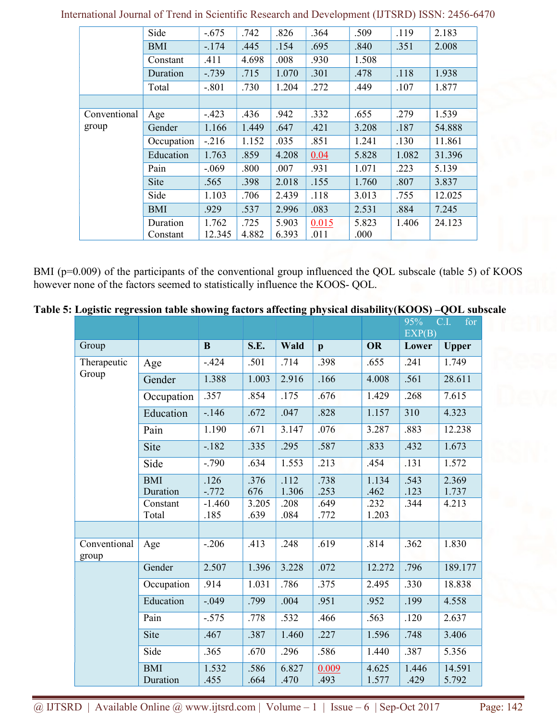|              | Side       | $-.675$ | .742  | .826  | .364  | .509  | .119  | 2.183  |
|--------------|------------|---------|-------|-------|-------|-------|-------|--------|
|              | <b>BMI</b> | $-174$  | .445  | .154  | .695  | .840  | .351  | 2.008  |
|              | Constant   | .411    | 4.698 | .008  | .930  | 1.508 |       |        |
|              | Duration   | $-.739$ | .715  | 1.070 | .301  | .478  | .118  | 1.938  |
|              | Total      | $-.801$ | .730  | 1.204 | .272  | .449  | .107  | 1.877  |
|              |            |         |       |       |       |       |       |        |
| Conventional | Age        | $-.423$ | .436  | .942  | .332  | .655  | .279  | 1.539  |
| group        | Gender     | 1.166   | 1.449 | .647  | .421  | 3.208 | .187  | 54.888 |
|              | Occupation | $-.216$ | 1.152 | .035  | .851  | 1.241 | .130  | 11.861 |
|              | Education  | 1.763   | .859  | 4.208 | 0.04  | 5.828 | 1.082 | 31.396 |
|              | Pain       | $-.069$ | .800  | .007  | .931  | 1.071 | .223  | 5.139  |
|              | Site       | .565    | .398  | 2.018 | .155  | 1.760 | .807  | 3.837  |
|              | Side       | 1.103   | .706  | 2.439 | .118  | 3.013 | .755  | 12.025 |
|              | <b>BMI</b> | .929    | .537  | 2.996 | .083  | 2.531 | .884  | 7.245  |
|              | Duration   | 1.762   | .725  | 5.903 | 0.015 | 5.823 | 1.406 | 24.123 |
|              | Constant   | 12.345  | 4.882 | 6.393 | .011  | .000  |       |        |

International Journal of Trend in Scientific Research and Development (IJTSRD) ISSN: 2456-6470

BMI (p=0.009) of the participants of the conventional group influenced the QOL subscale (table 5) of KOOS however none of the factors seemed to statistically influence the KOOS- QOL.

|  | Table 5: Logistic regression table showing factors affecting physical disability(KOOS) - QOL subscale |  |  |
|--|-------------------------------------------------------------------------------------------------------|--|--|
|  |                                                                                                       |  |  |

|                       |                        |                  |               |               |               |                | 95%<br>EXP(B) | C.I.<br>for     |
|-----------------------|------------------------|------------------|---------------|---------------|---------------|----------------|---------------|-----------------|
| Group                 |                        | $\bf{B}$         | S.E.          | Wald          | $\mathbf{p}$  | OR             | Lower         | <b>Upper</b>    |
| Therapeutic<br>Group  | Age                    | $-.424$          | .501          | .714          | .398          | .655           | .241          | 1.749           |
|                       | Gender                 | 1.388            | 1.003         | 2.916         | .166          | 4.008          | .561          | 28.611          |
|                       | Occupation             | .357             | .854          | .175          | .676          | 1.429          | .268          | 7.615           |
|                       | Education              | $-146$           | .672          | .047          | .828          | 1.157          | 310           | 4.323           |
|                       | Pain                   | 1.190            | .671          | 3.147         | .076          | 3.287          | .883          | 12.238          |
|                       | Site                   | $-.182$          | .335          | .295          | .587          | .833           | .432          | 1.673           |
|                       | Side                   | $-.790$          | .634          | 1.553         | .213          | .454           | .131          | 1.572           |
|                       | <b>BMI</b><br>Duration | .126<br>$-0.772$ | .376<br>676   | .112<br>1.306 | .738<br>.253  | 1.134<br>.462  | .543<br>.123  | 2.369<br>1.737  |
|                       | Constant<br>Total      | $-1.460$<br>.185 | 3.205<br>.639 | .208<br>.084  | .649<br>.772  | .232<br>1.203  | .344          | 4.213           |
|                       |                        |                  |               |               |               |                |               |                 |
| Conventional<br>group | Age                    | $-.206$          | .413          | .248          | .619          | .814           | .362          | 1.830           |
|                       | Gender                 | 2.507            | 1.396         | 3.228         | .072          | 12.272         | .796          | 189.177         |
|                       | Occupation             | .914             | 1.031         | .786          | .375          | 2.495          | .330          | 18.838          |
|                       | Education              | $-.049$          | .799          | .004          | .951          | .952           | .199          | 4.558           |
|                       | Pain                   | $-.575$          | .778          | .532          | .466          | .563           | .120          | 2.637           |
|                       | Site                   | .467             | .387          | 1.460         | .227          | 1.596          | .748          | 3.406           |
|                       | Side                   | .365             | .670          | .296          | .586          | 1.440          | .387          | 5.356           |
|                       | <b>BMI</b><br>Duration | 1.532<br>.455    | .586<br>.664  | 6.827<br>.470 | 0.009<br>.493 | 4.625<br>1.577 | 1.446<br>.429 | 14.591<br>5.792 |

@ IJTSRD | Available Online @ www.ijtsrd.com | Volume – 1 | Issue – 6 | Sep-Oct 2017 Page: 142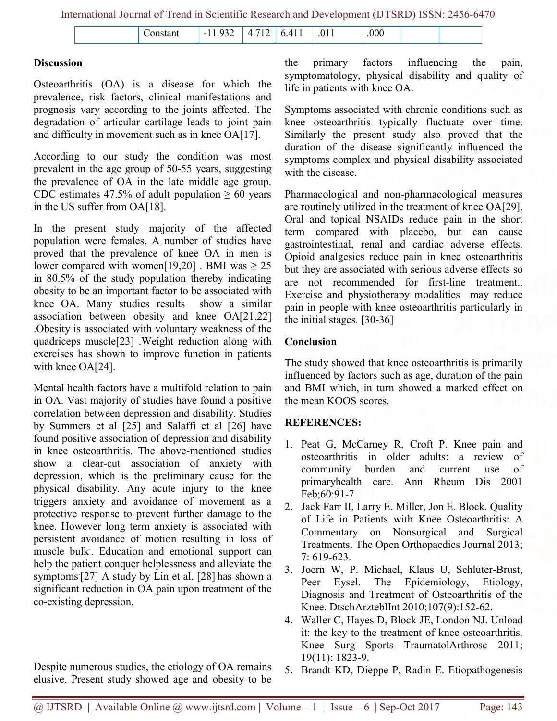|  | $\overline{\phantom{0}}$<br>$-$ | $ -$ |  |  |  |  |  |
|--|---------------------------------|------|--|--|--|--|--|
|--|---------------------------------|------|--|--|--|--|--|

## **Discussion**

Osteoarthritis (OA) is a disease for which the prevalence, risk factors, clinical manifestations and prognosis vary according to the joints affected. The degradation of articular cartilage leads to joint pain and difficulty in movement such as in knee OA[17].

According to our study the condition was most prevalent in the age group of 50-55 years, suggesting the prevalence of OA in the late middle age group. CDC estimates 47.5% of adult population  $\geq 60$  years in the US suffer from OA[18].

In the present study majority of the affected population were females. A number of studies have proved that the prevalence of knee OA in men is lower compared with women[19,20] . BMI was  $\geq 25$ in 80.5% of the study population thereby indicating obesity to be an important factor to be associated with knee OA. Many studies results show a similar association between obesity and knee OA[21,22] .Obesity is associated with voluntary weakness of the quadriceps muscle[23] .Weight reduction along with exercises has shown to improve function in patients with knee OA[24].

Mental health factors have a multifold relation to pain in OA. Vast majority of studies have found a positive correlation between depression and disability. Studies by Summers et al [25] and Salaffi et al [26] have found positive association of depression and disability in knee osteoarthritis. The above-mentioned studies show a clear-cut association of anxiety with depression, which is the preliminary cause for the physical disability. Any acute injury to the knee triggers anxiety and avoidance of movement as a protective response to prevent further damage to the knee. However long term anxiety is associated with persistent avoidance of motion resulting in loss of muscle bulk. . Education and emotional support can help the patient conquer helplessness and alleviate the symptoms [27] A study by Lin et al. [28] has shown a significant reduction in OA pain upon treatment of the co-existing depression.

Despite numerous studies, the etiology of OA remains elusive. Present study showed age and obesity to be the primary factors influencing the pain, symptomatology, physical disability and quality of life in patients with knee OA.

Symptoms associated with chronic conditions such as knee osteoarthritis typically fluctuate over time. Similarly the present study also proved that the duration of the disease significantly influenced the symptoms complex and physical disability associated with the disease.

Pharmacological and non-pharmacological measures are routinely utilized in the treatment of knee OA[29]. Oral and topical NSAIDs reduce pain in the short term compared with placebo, but can cause gastrointestinal, renal and cardiac adverse effects. Opioid analgesics reduce pain in knee osteoarthritis but they are associated with serious adverse effects so are not recommended for first-line treatment.. Exercise and physiotherapy modalities may reduce pain in people with knee osteoarthritis particularly in the initial stages. [30-36]

# Conclusion

The study showed that knee osteoarthritis is primarily influenced by factors such as age, duration of the pain and BMI which, in turn showed a marked effect on the mean KOOS scores.

# REFERENCES:

- 1. Peat G, McCarney R, Croft P. Knee pain and osteoarthritis in older adults: a review of community burden and current use of primaryhealth care. Ann Rheum Dis 2001 Feb;60:91-7
- 2. Jack Farr II, Larry E. Miller, Jon E. Block. Quality of Life in Patients with Knee Osteoarthritis: A Commentary on Nonsurgical and Surgical Treatments. The Open Orthopaedics Journal 2013; 7: 619-623.
- 3. Joern W, P. Michael, Klaus U, Schluter-Brust, Peer Eysel. The Epidemiology, Etiology, Diagnosis and Treatment of Osteoarthritis of the Knee. DtschArzteblInt 2010;107(9):152-62.
- 4. Waller C, Hayes D, Block JE, London NJ. Unload it: the key to the treatment of knee osteoarthritis. Knee Surg Sports TraumatolArthrosc 2011; 19(11): 1823-9.
- 5. Brandt KD, Dieppe P, Radin E. Etiopathogenesis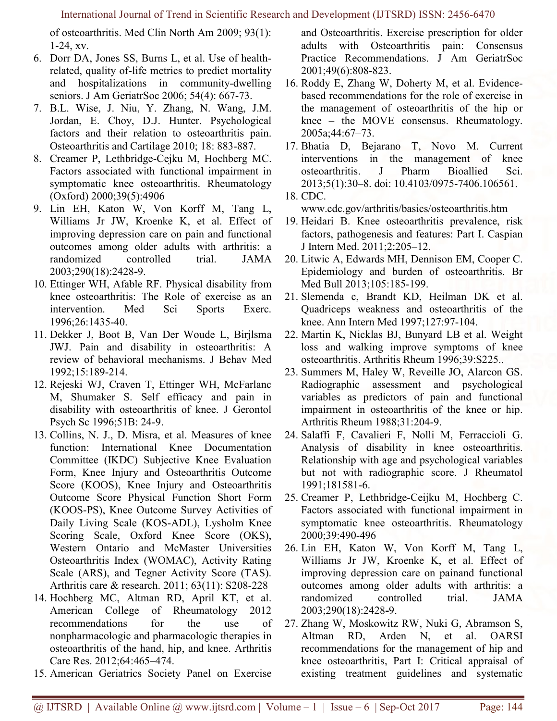of osteoarthritis. Med Clin North Am 2009; 93(1): 1-24, xv.

- 6. Dorr DA, Jones SS, Burns L, et al. Use of healthrelated, quality of-life metrics to predict mortality and hospitalizations in community-dwelling seniors. J Am GeriatrSoc 2006; 54(4): 667-73.
- 7. B.L. Wise, J. Niu, Y. Zhang, N. Wang, J.M. Jordan, E. Choy, D.J. Hunter. Psychological factors and their relation to osteoarthritis pain. Osteoarthritis and Cartilage 2010; 18: 883-887.
- 8. Creamer P, Lethbridge-Cejku M, Hochberg MC. Factors associated with functional impairment in symptomatic knee osteoarthritis. Rheumatology (Oxford) 2000;39(5):4906
- 9. Lin EH, Katon W, Von Korff M, Tang L, Williams Jr JW, Kroenke K, et al. Effect of improving depression care on pain and functional outcomes among older adults with arthritis: a randomized controlled trial. JAMA 2003;290(18):2428-9.
- 10. Ettinger WH, Afable RF. Physical disability from knee osteoarthritis: The Role of exercise as an intervention. Med Sci Sports Exerc. 1996;26:1435-40.
- 11. Dekker J, Boot B, Van Der Woude L, Birjlsma JWJ. Pain and disability in osteoarthritis: A review of behavioral mechanisms. J Behav Med 1992;15:189-214.
- 12. Rejeski WJ, Craven T, Ettinger WH, McFarlanc M, Shumaker S. Self efficacy and pain in disability with osteoarthritis of knee. J Gerontol Psych Sc 1996;51B: 24-9.
- 13. Collins, N. J., D. Misra, et al. Measures of knee function: International Knee Documentation Committee (IKDC) Subjective Knee Evaluation Form, Knee Injury and Osteoarthritis Outcome Score (KOOS), Knee Injury and Osteoarthritis Outcome Score Physical Function Short Form (KOOS-PS), Knee Outcome Survey Activities of Daily Living Scale (KOS-ADL), Lysholm Knee Scoring Scale, Oxford Knee Score (OKS), Western Ontario and McMaster Universities Osteoarthritis Index (WOMAC), Activity Rating Scale (ARS), and Tegner Activity Score (TAS). Arthritis care & research. 2011; 63(11): S208-228
- 14. Hochberg MC, Altman RD, April KT, et al. American College of Rheumatology 2012 recommendations for the use of nonpharmacologic and pharmacologic therapies in osteoarthritis of the hand, hip, and knee. Arthritis Care Res. 2012;64:465–474.
- 15. American Geriatrics Society Panel on Exercise

and Osteoarthritis. Exercise prescription for older adults with Osteoarthritis pain: Consensus Practice Recommendations. J Am GeriatrSoc 2001;49(6):808-823.

- 16. Roddy E, Zhang W, Doherty M, et al. Evidencebased recommendations for the role of exercise in the management of osteoarthritis of the hip or knee – the MOVE consensus. Rheumatology. 2005a;44:67–73.
- 17. Bhatia D, Bejarano T, Novo M. Current interventions in the management of knee osteoarthritis. J Pharm Bioallied Sci. 2013;5(1):30–8. doi: 10.4103/0975-7406.106561. 18. CDC.

www.cdc.gov/arthritis/basics/osteoarthritis.htm

- 19. Heidari B. Knee osteoarthritis prevalence, risk factors, pathogenesis and features: Part I. Caspian J Intern Med. 2011;2:205–12.
- 20. Litwic A, Edwards MH, Dennison EM, Cooper C. Epidemiology and burden of osteoarthritis. Br Med Bull 2013;105:185-199.
- 21. Slemenda c, Brandt KD, Heilman DK et al. Quadriceps weakness and osteoarthritis of the knee. Ann Intern Med 1997;127:97-104.
- 22. Martin K, Nicklas BJ, Bunyard LB et al. Weight loss and walking improve symptoms of knee osteoarthritis. Arthritis Rheum 1996;39:S225..
- 23. Summers M, Haley W, Reveille JO, Alarcon GS. Radiographic assessment and psychological variables as predictors of pain and functional impairment in osteoarthritis of the knee or hip. Arthritis Rheum 1988;31:204-9.
- 24. Salaffi F, Cavalieri F, Nolli M, Ferraccioli G. Analysis of disability in knee osteoarthritis. Relationship with age and psychological variables but not with radiographic score. J Rheumatol 1991;181581-6.
- 25. Creamer P, Lethbridge-Ceijku M, Hochberg C. Factors associated with functional impairment in symptomatic knee osteoarthritis. Rheumatology 2000;39:490-496
- 26. Lin EH, Katon W, Von Korff M, Tang L, Williams Jr JW, Kroenke K, et al. Effect of improving depression care on painand functional outcomes among older adults with arthritis: a randomized controlled trial. JAMA 2003;290(18):2428-9.
- 27. Zhang W, Moskowitz RW, Nuki G, Abramson S, Altman RD, Arden N, et al. OARSI recommendations for the management of hip and knee osteoarthritis, Part I: Critical appraisal of existing treatment guidelines and systematic